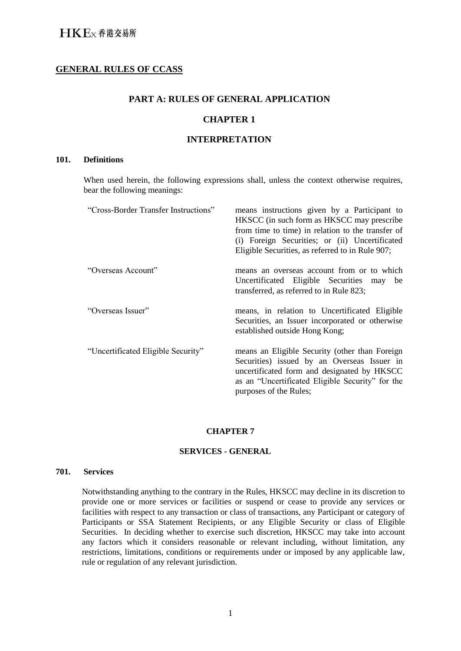# **GENERAL RULES OF CCASS**

# **PART A: RULES OF GENERAL APPLICATION**

## **CHAPTER 1**

## **INTERPRETATION**

## **101. Definitions**

When used herein, the following expressions shall, unless the context otherwise requires, bear the following meanings:

| "Cross-Border Transfer Instructions" | means instructions given by a Participant to<br>HKSCC (in such form as HKSCC may prescribe<br>from time to time) in relation to the transfer of<br>(i) Foreign Securities; or (ii) Uncertificated<br>Eligible Securities, as referred to in Rule 907; |
|--------------------------------------|-------------------------------------------------------------------------------------------------------------------------------------------------------------------------------------------------------------------------------------------------------|
| "Overseas Account"                   | means an overseas account from or to which<br>Uncertificated Eligible Securities may be<br>transferred, as referred to in Rule 823;                                                                                                                   |
| "Overseas Issuer"                    | means, in relation to Uncertificated Eligible<br>Securities, an Issuer incorporated or otherwise<br>established outside Hong Kong;                                                                                                                    |
| "Uncertificated Eligible Security"   | means an Eligible Security (other than Foreign<br>Securities) issued by an Overseas Issuer in<br>uncertificated form and designated by HKSCC<br>as an "Uncertificated Eligible Security" for the<br>purposes of the Rules;                            |

#### **CHAPTER 7**

#### **SERVICES - GENERAL**

#### **701. Services**

Notwithstanding anything to the contrary in the Rules, HKSCC may decline in its discretion to provide one or more services or facilities or suspend or cease to provide any services or facilities with respect to any transaction or class of transactions, any Participant or category of Participants or SSA Statement Recipients, or any Eligible Security or class of Eligible Securities. In deciding whether to exercise such discretion, HKSCC may take into account any factors which it considers reasonable or relevant including, without limitation, any restrictions, limitations, conditions or requirements under or imposed by any applicable law, rule or regulation of any relevant jurisdiction.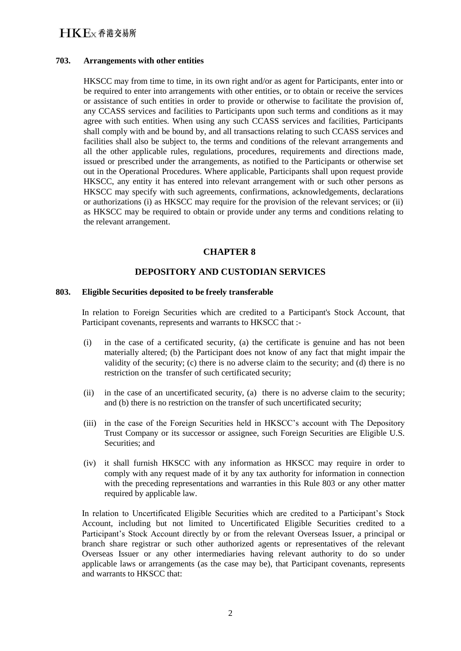# **HKE**x 香港交易所

#### **703. Arrangements with other entities**

HKSCC may from time to time, in its own right and/or as agent for Participants, enter into or be required to enter into arrangements with other entities, or to obtain or receive the services or assistance of such entities in order to provide or otherwise to facilitate the provision of, any CCASS services and facilities to Participants upon such terms and conditions as it may agree with such entities. When using any such CCASS services and facilities, Participants shall comply with and be bound by, and all transactions relating to such CCASS services and facilities shall also be subject to, the terms and conditions of the relevant arrangements and all the other applicable rules, regulations, procedures, requirements and directions made, issued or prescribed under the arrangements, as notified to the Participants or otherwise set out in the Operational Procedures. Where applicable, Participants shall upon request provide HKSCC, any entity it has entered into relevant arrangement with or such other persons as HKSCC may specify with such agreements, confirmations, acknowledgements, declarations or authorizations (i) as HKSCC may require for the provision of the relevant services; or (ii) as HKSCC may be required to obtain or provide under any terms and conditions relating to the relevant arrangement.

# **CHAPTER 8**

# **DEPOSITORY AND CUSTODIAN SERVICES**

#### **803. Eligible Securities deposited to be freely transferable**

In relation to Foreign Securities which are credited to a Participant's Stock Account, that Participant covenants, represents and warrants to HKSCC that :-

- (i) in the case of a certificated security, (a) the certificate is genuine and has not been materially altered; (b) the Participant does not know of any fact that might impair the validity of the security; (c) there is no adverse claim to the security; and (d) there is no restriction on the transfer of such certificated security;
- (ii) in the case of an uncertificated security, (a) there is no adverse claim to the security; and (b) there is no restriction on the transfer of such uncertificated security;
- (iii) in the case of the Foreign Securities held in HKSCC's account with The Depository Trust Company or its successor or assignee, such Foreign Securities are Eligible U.S. Securities; and
- (iv) it shall furnish HKSCC with any information as HKSCC may require in order to comply with any request made of it by any tax authority for information in connection with the preceding representations and warranties in this Rule 803 or any other matter required by applicable law.

In relation to Uncertificated Eligible Securities which are credited to a Participant's Stock Account, including but not limited to Uncertificated Eligible Securities credited to a Participant's Stock Account directly by or from the relevant Overseas Issuer, a principal or branch share registrar or such other authorized agents or representatives of the relevant Overseas Issuer or any other intermediaries having relevant authority to do so under applicable laws or arrangements (as the case may be), that Participant covenants, represents and warrants to HKSCC that: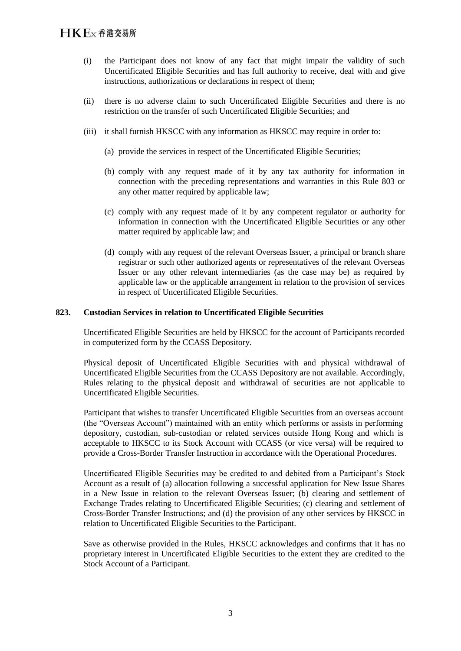- (i) the Participant does not know of any fact that might impair the validity of such Uncertificated Eligible Securities and has full authority to receive, deal with and give instructions, authorizations or declarations in respect of them;
- (ii) there is no adverse claim to such Uncertificated Eligible Securities and there is no restriction on the transfer of such Uncertificated Eligible Securities; and
- (iii) it shall furnish HKSCC with any information as HKSCC may require in order to:
	- (a) provide the services in respect of the Uncertificated Eligible Securities;
	- (b) comply with any request made of it by any tax authority for information in connection with the preceding representations and warranties in this Rule 803 or any other matter required by applicable law:
	- (c) comply with any request made of it by any competent regulator or authority for information in connection with the Uncertificated Eligible Securities or any other matter required by applicable law; and
	- (d) comply with any request of the relevant Overseas Issuer, a principal or branch share registrar or such other authorized agents or representatives of the relevant Overseas Issuer or any other relevant intermediaries (as the case may be) as required by applicable law or the applicable arrangement in relation to the provision of services in respect of Uncertificated Eligible Securities.

## **823. Custodian Services in relation to Uncertificated Eligible Securities**

Uncertificated Eligible Securities are held by HKSCC for the account of Participants recorded in computerized form by the CCASS Depository.

Physical deposit of Uncertificated Eligible Securities with and physical withdrawal of Uncertificated Eligible Securities from the CCASS Depository are not available. Accordingly, Rules relating to the physical deposit and withdrawal of securities are not applicable to Uncertificated Eligible Securities.

Participant that wishes to transfer Uncertificated Eligible Securities from an overseas account (the "Overseas Account") maintained with an entity which performs or assists in performing depository, custodian, sub-custodian or related services outside Hong Kong and which is acceptable to HKSCC to its Stock Account with CCASS (or vice versa) will be required to provide a Cross-Border Transfer Instruction in accordance with the Operational Procedures.

Uncertificated Eligible Securities may be credited to and debited from a Participant's Stock Account as a result of (a) allocation following a successful application for New Issue Shares in a New Issue in relation to the relevant Overseas Issuer; (b) clearing and settlement of Exchange Trades relating to Uncertificated Eligible Securities; (c) clearing and settlement of Cross-Border Transfer Instructions; and (d) the provision of any other services by HKSCC in relation to Uncertificated Eligible Securities to the Participant.

Save as otherwise provided in the Rules, HKSCC acknowledges and confirms that it has no proprietary interest in Uncertificated Eligible Securities to the extent they are credited to the Stock Account of a Participant.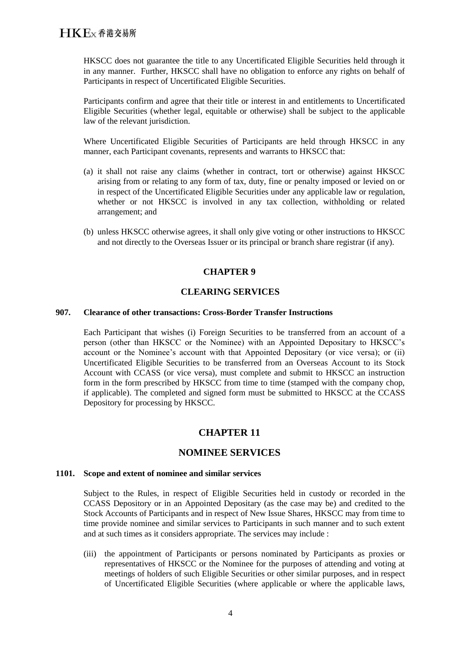HKSCC does not guarantee the title to any Uncertificated Eligible Securities held through it in any manner. Further, HKSCC shall have no obligation to enforce any rights on behalf of Participants in respect of Uncertificated Eligible Securities.

Participants confirm and agree that their title or interest in and entitlements to Uncertificated Eligible Securities (whether legal, equitable or otherwise) shall be subject to the applicable law of the relevant jurisdiction.

Where Uncertificated Eligible Securities of Participants are held through HKSCC in any manner, each Participant covenants, represents and warrants to HKSCC that:

- (a) it shall not raise any claims (whether in contract, tort or otherwise) against HKSCC arising from or relating to any form of tax, duty, fine or penalty imposed or levied on or in respect of the Uncertificated Eligible Securities under any applicable law or regulation, whether or not HKSCC is involved in any tax collection, withholding or related arrangement; and
- (b) unless HKSCC otherwise agrees, it shall only give voting or other instructions to HKSCC and not directly to the Overseas Issuer or its principal or branch share registrar (if any).

## **CHAPTER 9**

## **CLEARING SERVICES**

#### **907. Clearance of other transactions: Cross-Border Transfer Instructions**

Each Participant that wishes (i) Foreign Securities to be transferred from an account of a person (other than HKSCC or the Nominee) with an Appointed Depositary to HKSCC's account or the Nominee's account with that Appointed Depositary (or vice versa); or (ii) Uncertificated Eligible Securities to be transferred from an Overseas Account to its Stock Account with CCASS (or vice versa), must complete and submit to HKSCC an instruction form in the form prescribed by HKSCC from time to time (stamped with the company chop, if applicable). The completed and signed form must be submitted to HKSCC at the CCASS Depository for processing by HKSCC.

# **CHAPTER 11**

# **NOMINEE SERVICES**

#### **1101. Scope and extent of nominee and similar services**

Subject to the Rules, in respect of Eligible Securities held in custody or recorded in the CCASS Depository or in an Appointed Depositary (as the case may be) and credited to the Stock Accounts of Participants and in respect of New Issue Shares, HKSCC may from time to time provide nominee and similar services to Participants in such manner and to such extent and at such times as it considers appropriate. The services may include :

(iii) the appointment of Participants or persons nominated by Participants as proxies or representatives of HKSCC or the Nominee for the purposes of attending and voting at meetings of holders of such Eligible Securities or other similar purposes, and in respect of Uncertificated Eligible Securities (where applicable or where the applicable laws,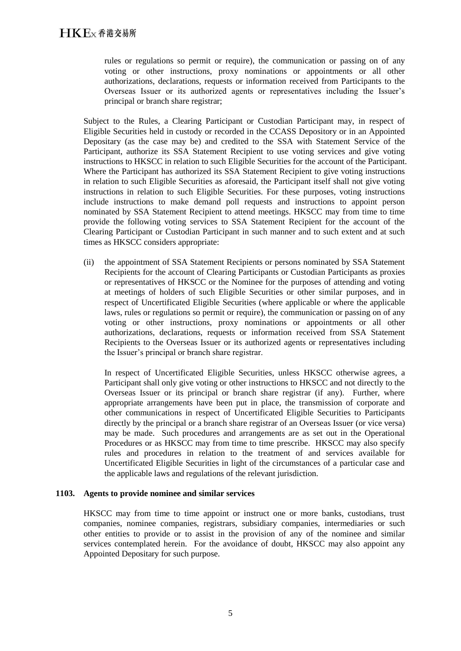rules or regulations so permit or require), the communication or passing on of any voting or other instructions, proxy nominations or appointments or all other authorizations, declarations, requests or information received from Participants to the Overseas Issuer or its authorized agents or representatives including the Issuer's principal or branch share registrar;

Subject to the Rules, a Clearing Participant or Custodian Participant may, in respect of Eligible Securities held in custody or recorded in the CCASS Depository or in an Appointed Depositary (as the case may be) and credited to the SSA with Statement Service of the Participant, authorize its SSA Statement Recipient to use voting services and give voting instructions to HKSCC in relation to such Eligible Securities for the account of the Participant. Where the Participant has authorized its SSA Statement Recipient to give voting instructions in relation to such Eligible Securities as aforesaid, the Participant itself shall not give voting instructions in relation to such Eligible Securities. For these purposes, voting instructions include instructions to make demand poll requests and instructions to appoint person nominated by SSA Statement Recipient to attend meetings. HKSCC may from time to time provide the following voting services to SSA Statement Recipient for the account of the Clearing Participant or Custodian Participant in such manner and to such extent and at such times as HKSCC considers appropriate:

(ii) the appointment of SSA Statement Recipients or persons nominated by SSA Statement Recipients for the account of Clearing Participants or Custodian Participants as proxies or representatives of HKSCC or the Nominee for the purposes of attending and voting at meetings of holders of such Eligible Securities or other similar purposes, and in respect of Uncertificated Eligible Securities (where applicable or where the applicable laws, rules or regulations so permit or require), the communication or passing on of any voting or other instructions, proxy nominations or appointments or all other authorizations, declarations, requests or information received from SSA Statement Recipients to the Overseas Issuer or its authorized agents or representatives including the Issuer's principal or branch share registrar.

In respect of Uncertificated Eligible Securities, unless HKSCC otherwise agrees, a Participant shall only give voting or other instructions to HKSCC and not directly to the Overseas Issuer or its principal or branch share registrar (if any). Further, where appropriate arrangements have been put in place, the transmission of corporate and other communications in respect of Uncertificated Eligible Securities to Participants directly by the principal or a branch share registrar of an Overseas Issuer (or vice versa) may be made. Such procedures and arrangements are as set out in the Operational Procedures or as HKSCC may from time to time prescribe. HKSCC may also specify rules and procedures in relation to the treatment of and services available for Uncertificated Eligible Securities in light of the circumstances of a particular case and the applicable laws and regulations of the relevant jurisdiction.

#### **1103. Agents to provide nominee and similar services**

HKSCC may from time to time appoint or instruct one or more banks, custodians, trust companies, nominee companies, registrars, subsidiary companies, intermediaries or such other entities to provide or to assist in the provision of any of the nominee and similar services contemplated herein. For the avoidance of doubt, HKSCC may also appoint any Appointed Depositary for such purpose.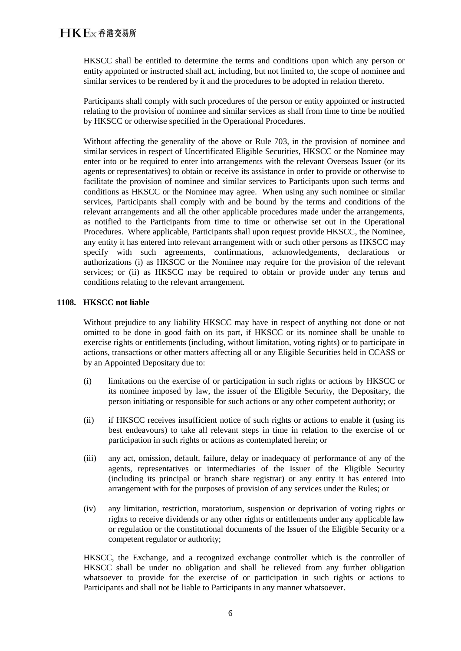HKSCC shall be entitled to determine the terms and conditions upon which any person or entity appointed or instructed shall act, including, but not limited to, the scope of nominee and similar services to be rendered by it and the procedures to be adopted in relation thereto.

Participants shall comply with such procedures of the person or entity appointed or instructed relating to the provision of nominee and similar services as shall from time to time be notified by HKSCC or otherwise specified in the Operational Procedures.

Without affecting the generality of the above or Rule 703, in the provision of nominee and similar services in respect of Uncertificated Eligible Securities, HKSCC or the Nominee may enter into or be required to enter into arrangements with the relevant Overseas Issuer (or its agents or representatives) to obtain or receive its assistance in order to provide or otherwise to facilitate the provision of nominee and similar services to Participants upon such terms and conditions as HKSCC or the Nominee may agree. When using any such nominee or similar services, Participants shall comply with and be bound by the terms and conditions of the relevant arrangements and all the other applicable procedures made under the arrangements, as notified to the Participants from time to time or otherwise set out in the Operational Procedures. Where applicable, Participants shall upon request provide HKSCC, the Nominee, any entity it has entered into relevant arrangement with or such other persons as HKSCC may specify with such agreements, confirmations, acknowledgements, declarations or authorizations (i) as HKSCC or the Nominee may require for the provision of the relevant services; or (ii) as HKSCC may be required to obtain or provide under any terms and conditions relating to the relevant arrangement.

# **1108. HKSCC not liable**

Without prejudice to any liability HKSCC may have in respect of anything not done or not omitted to be done in good faith on its part, if HKSCC or its nominee shall be unable to exercise rights or entitlements (including, without limitation, voting rights) or to participate in actions, transactions or other matters affecting all or any Eligible Securities held in CCASS or by an Appointed Depositary due to:

- (i) limitations on the exercise of or participation in such rights or actions by HKSCC or its nominee imposed by law, the issuer of the Eligible Security, the Depositary, the person initiating or responsible for such actions or any other competent authority; or
- (ii) if HKSCC receives insufficient notice of such rights or actions to enable it (using its best endeavours) to take all relevant steps in time in relation to the exercise of or participation in such rights or actions as contemplated herein; or
- (iii) any act, omission, default, failure, delay or inadequacy of performance of any of the agents, representatives or intermediaries of the Issuer of the Eligible Security (including its principal or branch share registrar) or any entity it has entered into arrangement with for the purposes of provision of any services under the Rules; or
- (iv) any limitation, restriction, moratorium, suspension or deprivation of voting rights or rights to receive dividends or any other rights or entitlements under any applicable law or regulation or the constitutional documents of the Issuer of the Eligible Security or a competent regulator or authority;

HKSCC, the Exchange, and a recognized exchange controller which is the controller of HKSCC shall be under no obligation and shall be relieved from any further obligation whatsoever to provide for the exercise of or participation in such rights or actions to Participants and shall not be liable to Participants in any manner whatsoever.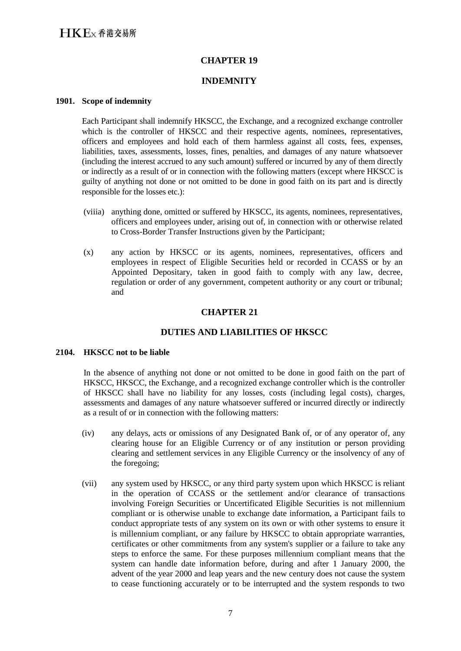## **CHAPTER 19**

## **INDEMNITY**

#### **1901. Scope of indemnity**

Each Participant shall indemnify HKSCC, the Exchange, and a recognized exchange controller which is the controller of HKSCC and their respective agents, nominees, representatives, officers and employees and hold each of them harmless against all costs, fees, expenses, liabilities, taxes, assessments, losses, fines, penalties, and damages of any nature whatsoever (including the interest accrued to any such amount) suffered or incurred by any of them directly or indirectly as a result of or in connection with the following matters (except where HKSCC is guilty of anything not done or not omitted to be done in good faith on its part and is directly responsible for the losses etc.):

- (viiia) anything done, omitted or suffered by HKSCC, its agents, nominees, representatives, officers and employees under, arising out of, in connection with or otherwise related to Cross-Border Transfer Instructions given by the Participant;
- (x) any action by HKSCC or its agents, nominees, representatives, officers and employees in respect of Eligible Securities held or recorded in CCASS or by an Appointed Depositary, taken in good faith to comply with any law, decree, regulation or order of any government, competent authority or any court or tribunal; and

# **CHAPTER 21**

# **DUTIES AND LIABILITIES OF HKSCC**

## **2104. HKSCC not to be liable**

In the absence of anything not done or not omitted to be done in good faith on the part of HKSCC, HKSCC, the Exchange, and a recognized exchange controller which is the controller of HKSCC shall have no liability for any losses, costs (including legal costs), charges, assessments and damages of any nature whatsoever suffered or incurred directly or indirectly as a result of or in connection with the following matters:

- (iv) any delays, acts or omissions of any Designated Bank of, or of any operator of, any clearing house for an Eligible Currency or of any institution or person providing clearing and settlement services in any Eligible Currency or the insolvency of any of the foregoing;
- (vii) any system used by HKSCC, or any third party system upon which HKSCC is reliant in the operation of CCASS or the settlement and/or clearance of transactions involving Foreign Securities or Uncertificated Eligible Securities is not millennium compliant or is otherwise unable to exchange date information, a Participant fails to conduct appropriate tests of any system on its own or with other systems to ensure it is millennium compliant, or any failure by HKSCC to obtain appropriate warranties, certificates or other commitments from any system's supplier or a failure to take any steps to enforce the same. For these purposes millennium compliant means that the system can handle date information before, during and after 1 January 2000, the advent of the year 2000 and leap years and the new century does not cause the system to cease functioning accurately or to be interrupted and the system responds to two